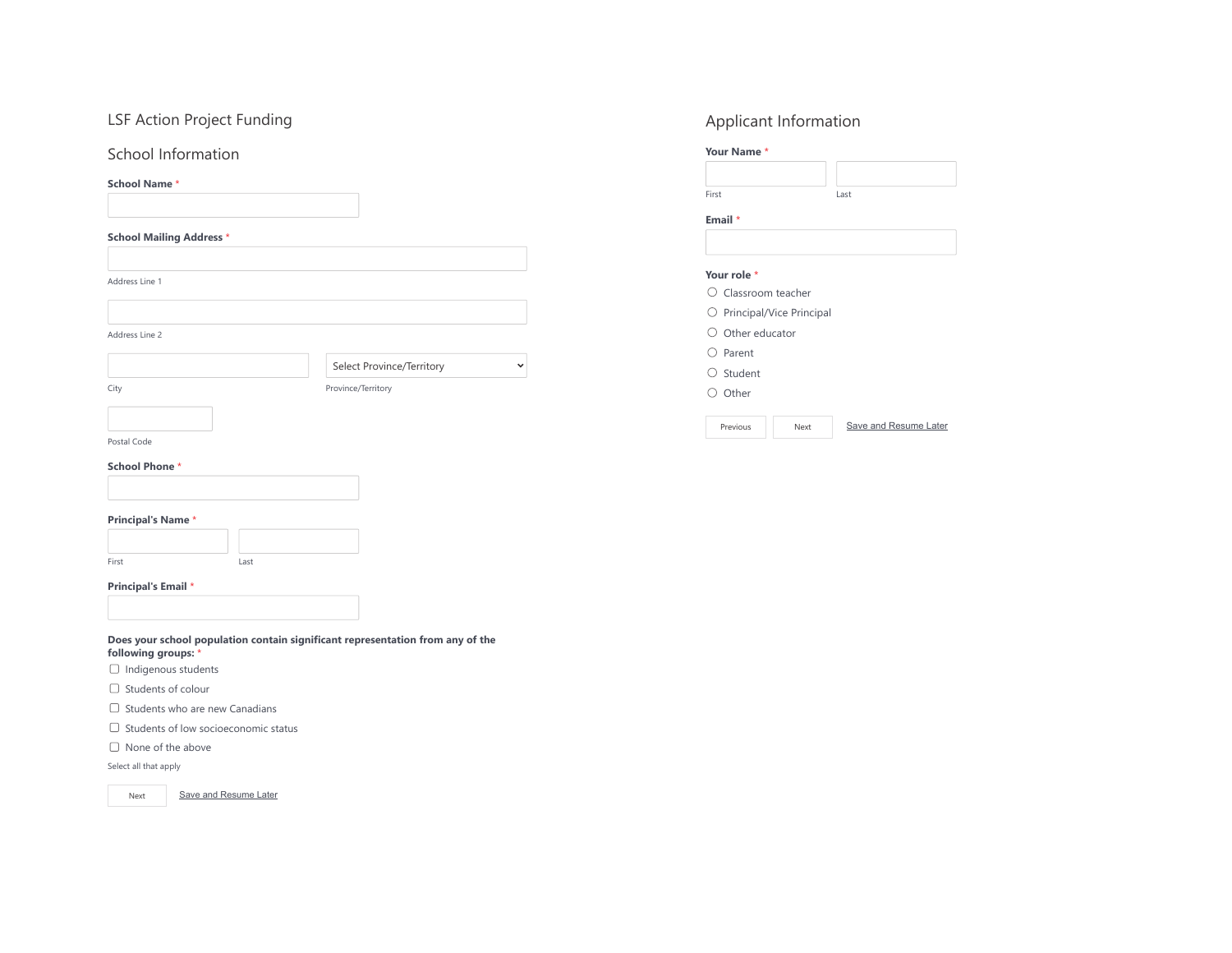# LSF Action Project Funding

# School Information

#### **School Name** \*

|  | <b>School Mailing Address *</b> |  |
|--|---------------------------------|--|
|  |                                 |  |

Address Line 1

#### Address Line 2

City

| Select Province/Territory |  |
|---------------------------|--|
|                           |  |

| × |  |  |
|---|--|--|
| I |  |  |
|   |  |  |
|   |  |  |

Province/Territory

Ñ

Postal Code

#### **School Phone** \*



#### **Principal's Name** \*

| First |  |
|-------|--|

#### **Principal's Email** \*

#### **Does your school population contain significant representation from any of the following groups:** \*

 $\Box$  Indigenous students

- Students of colour
- Students who are new Canadians

 $\Box$  Students of low socioeconomic status

None of the above

Select all that apply



Save and Resume Later

# Applicant Information

# **Your Name** \***Email** \* **Your role** \* Classroom teacher  $\bigcirc$  Principal/Vice Principal Other educator  $\bigcirc$  Parent Student Other FirstLast

Previous

Next Save and Resume Later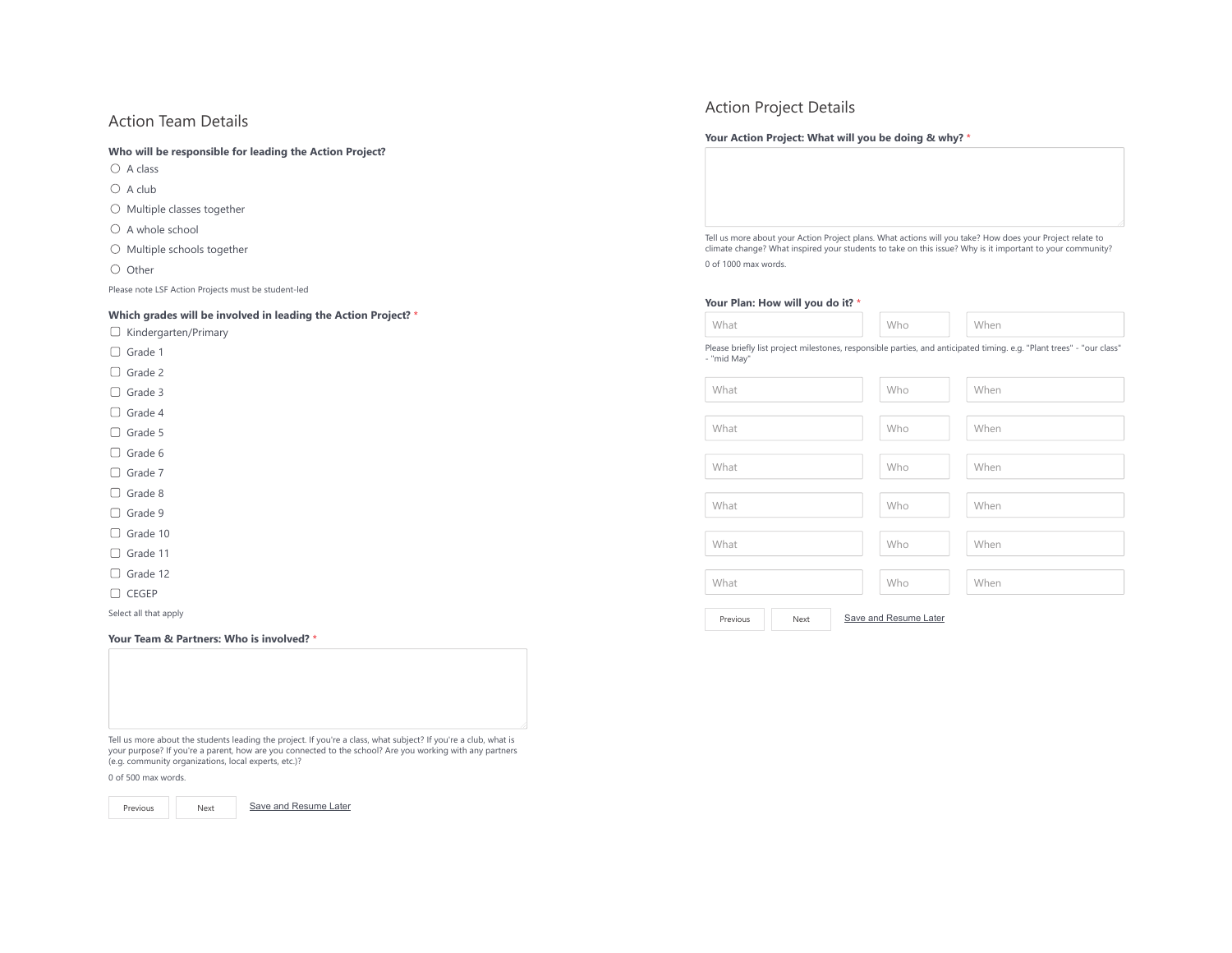### Action Team Details

#### **Who will be responsible for leading the Action Project?**

 $O$  A class

 $\bigcirc$  A club

 $\bigcirc$  Multiple classes together

A whole school

 $\bigcirc$  Multiple schools together

O Other

Please note LSF Action Projects must be student-led

#### **Which grades will be involved in leading the Action Project?** \*

 $\Box$  Kindergarten/Primary

□ Grade 1

□ Grade 2

□ Grade 3

 $\Box$  Grade 4

□ Grade 5

Grade 6

□ Grade 7

□ Grade 8

□ Grade 9

Grade 10

Grade 11

Grade 12

□ CEGEP

Select all that apply

**Your Team & Partners: Who is involved?** \*

Tell us more about the students leading the project. If you're a class, what subject? If you're a club, what is your purpose? If you're a parent, how are you connected to the school? Are you working with any partners (e.g. community organizations, local experts, etc.)?

0 of 500 max words.

Previous

Next Save and Resume Later

## Action Project Details

#### **Your Action Project: What will you be doing & why?** \*

Tell us more about your Action Project plans. What actions will you take? How does your Project relate to climate change? What inspired your students to take on this issue? Why is it important to your community? 0 of 1000 max words.

**Your Plan: How will you do it?** \*

What



 WhoWhen

Please briefly list project milestones, responsible parties, and anticipated timing. e.g. "Plant trees" - "our class" - "mid May"

| What                                      | Who | When |  |  |
|-------------------------------------------|-----|------|--|--|
| What                                      | Who | When |  |  |
| What                                      | Who | When |  |  |
| What                                      | Who | When |  |  |
| What                                      | Who | When |  |  |
| What                                      | Who | When |  |  |
| Save and Resume Later<br>Previous<br>Next |     |      |  |  |